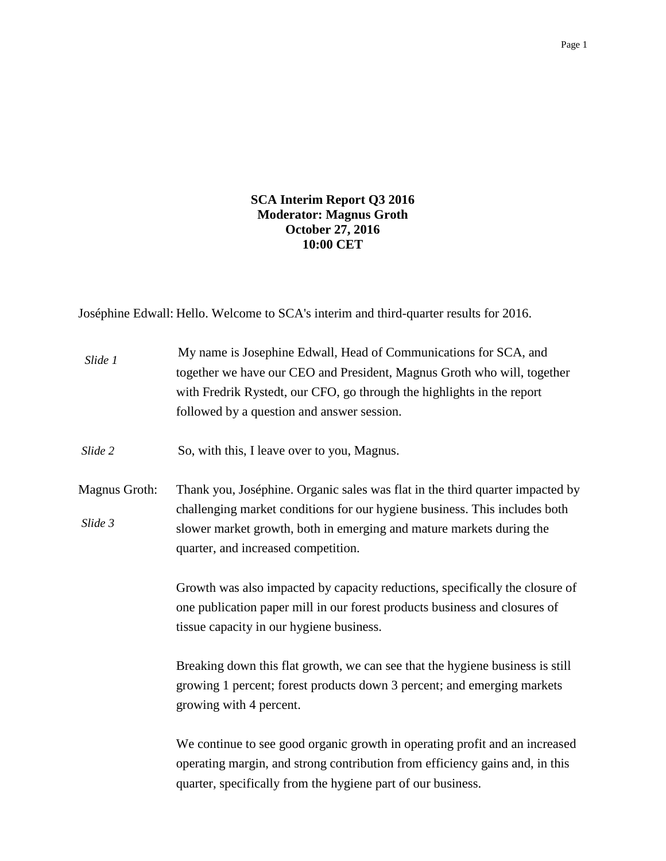## **SCA Interim Report Q3 2016 Moderator: Magnus Groth October 27, 2016 10:00 CET**

Joséphine Edwall: Hello. Welcome to SCA's interim and third-quarter results for 2016.

| Slide 1                  | My name is Josephine Edwall, Head of Communications for SCA, and<br>together we have our CEO and President, Magnus Groth who will, together<br>with Fredrik Rystedt, our CFO, go through the highlights in the report<br>followed by a question and answer session.<br>So, with this, I leave over to you, Magnus. |  |
|--------------------------|--------------------------------------------------------------------------------------------------------------------------------------------------------------------------------------------------------------------------------------------------------------------------------------------------------------------|--|
| Slide 2                  |                                                                                                                                                                                                                                                                                                                    |  |
| Magnus Groth:<br>Slide 3 | Thank you, Joséphine. Organic sales was flat in the third quarter impacted by<br>challenging market conditions for our hygiene business. This includes both<br>slower market growth, both in emerging and mature markets during the<br>quarter, and increased competition.                                         |  |
|                          | Growth was also impacted by capacity reductions, specifically the closure of<br>one publication paper mill in our forest products business and closures of<br>tissue capacity in our hygiene business.                                                                                                             |  |
|                          | Breaking down this flat growth, we can see that the hygiene business is still<br>growing 1 percent; forest products down 3 percent; and emerging markets<br>growing with 4 percent.                                                                                                                                |  |
|                          | We continue to see good organic growth in operating profit and an increased<br>operating margin, and strong contribution from efficiency gains and, in this<br>quarter, specifically from the hygiene part of our business.                                                                                        |  |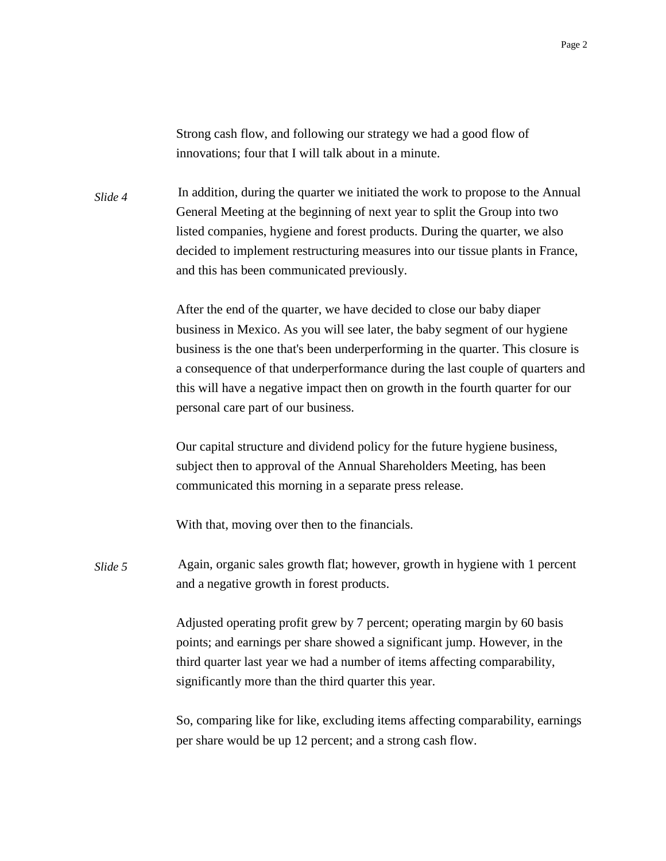Strong cash flow, and following our strategy we had a good flow of innovations; four that I will talk about in a minute.

In addition, during the quarter we initiated the work to propose to the Annual General Meeting at the beginning of next year to split the Group into two listed companies, hygiene and forest products. During the quarter, we also decided to implement restructuring measures into our tissue plants in France, and this has been communicated previously. *Slide 4*

> After the end of the quarter, we have decided to close our baby diaper business in Mexico. As you will see later, the baby segment of our hygiene business is the one that's been underperforming in the quarter. This closure is a consequence of that underperformance during the last couple of quarters and this will have a negative impact then on growth in the fourth quarter for our personal care part of our business.

Our capital structure and dividend policy for the future hygiene business, subject then to approval of the Annual Shareholders Meeting, has been communicated this morning in a separate press release.

With that, moving over then to the financials.

Again, organic sales growth flat; however, growth in hygiene with 1 percent and a negative growth in forest products. *Slide 5*

> Adjusted operating profit grew by 7 percent; operating margin by 60 basis points; and earnings per share showed a significant jump. However, in the third quarter last year we had a number of items affecting comparability, significantly more than the third quarter this year.

So, comparing like for like, excluding items affecting comparability, earnings per share would be up 12 percent; and a strong cash flow.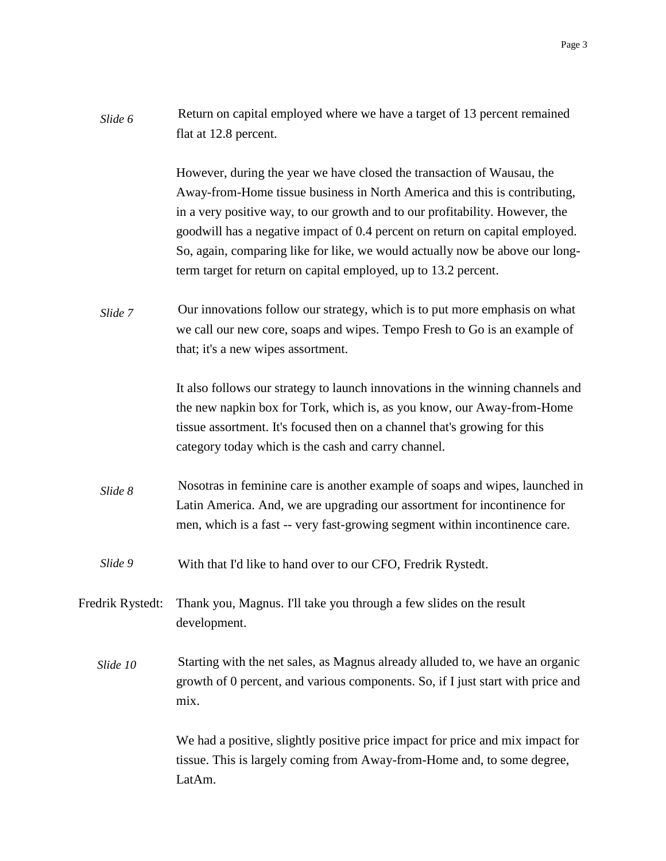| Slide 6 | Return on capital employed where we have a target of 13 percent remained |
|---------|--------------------------------------------------------------------------|
|         | flat at 12.8 percent.                                                    |

However, during the year we have closed the transaction of Wausau, the Away-from-Home tissue business in North America and this is contributing, in a very positive way, to our growth and to our profitability. However, the goodwill has a negative impact of 0.4 percent on return on capital employed. So, again, comparing like for like, we would actually now be above our longterm target for return on capital employed, up to 13.2 percent.

Our innovations follow our strategy, which is to put more emphasis on what we call our new core, soaps and wipes. Tempo Fresh to Go is an example of that; it's a new wipes assortment. *Slide 7*

> It also follows our strategy to launch innovations in the winning channels and the new napkin box for Tork, which is, as you know, our Away-from-Home tissue assortment. It's focused then on a channel that's growing for this category today which is the cash and carry channel.

- Nosotras in feminine care is another example of soaps and wipes, launched in Latin America. And, we are upgrading our assortment for incontinence for men, which is a fast -- very fast-growing segment within incontinence care. *Slide 8*
- With that I'd like to hand over to our CFO, Fredrik Rystedt. *Slide 9*
- Fredrik Rystedt: Thank you, Magnus. I'll take you through a few slides on the result development.
	- Starting with the net sales, as Magnus already alluded to, we have an organic growth of 0 percent, and various components. So, if I just start with price and mix. *Slide 10*

We had a positive, slightly positive price impact for price and mix impact for tissue. This is largely coming from Away-from-Home and, to some degree, LatAm.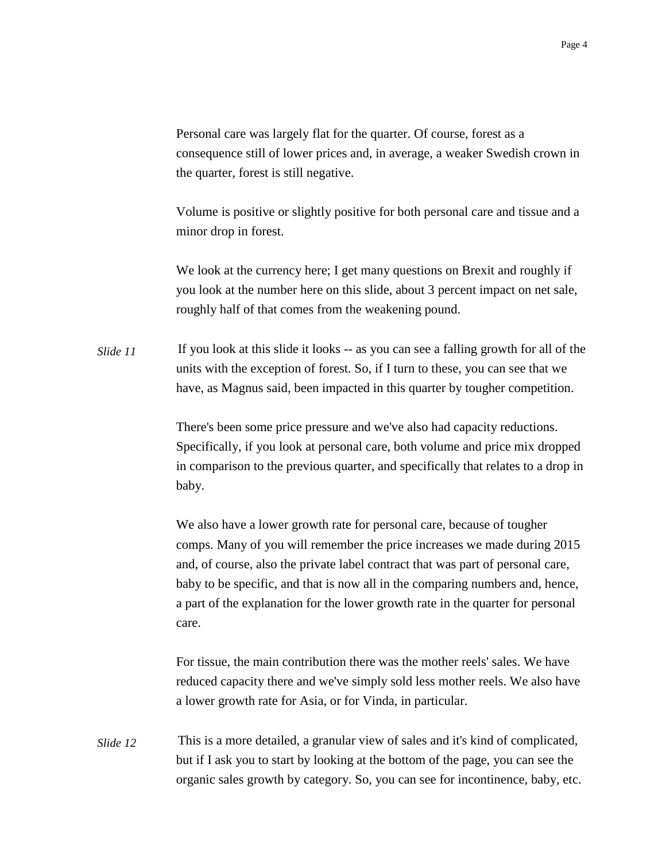Personal care was largely flat for the quarter. Of course, forest as a consequence still of lower prices and, in average, a weaker Swedish crown in the quarter, forest is still negative.

Volume is positive or slightly positive for both personal care and tissue and a minor drop in forest.

We look at the currency here; I get many questions on Brexit and roughly if you look at the number here on this slide, about 3 percent impact on net sale, roughly half of that comes from the weakening pound.

If you look at this slide it looks -- as you can see a falling growth for all of the units with the exception of forest. So, if I turn to these, you can see that we have, as Magnus said, been impacted in this quarter by tougher competition. *Slide 11*

> There's been some price pressure and we've also had capacity reductions. Specifically, if you look at personal care, both volume and price mix dropped in comparison to the previous quarter, and specifically that relates to a drop in baby.

> We also have a lower growth rate for personal care, because of tougher comps. Many of you will remember the price increases we made during 2015 and, of course, also the private label contract that was part of personal care, baby to be specific, and that is now all in the comparing numbers and, hence, a part of the explanation for the lower growth rate in the quarter for personal care.

> For tissue, the main contribution there was the mother reels' sales. We have reduced capacity there and we've simply sold less mother reels. We also have a lower growth rate for Asia, or for Vinda, in particular.

This is a more detailed, a granular view of sales and it's kind of complicated, but if I ask you to start by looking at the bottom of the page, you can see the organic sales growth by category. So, you can see for incontinence, baby, etc. *Slide 12*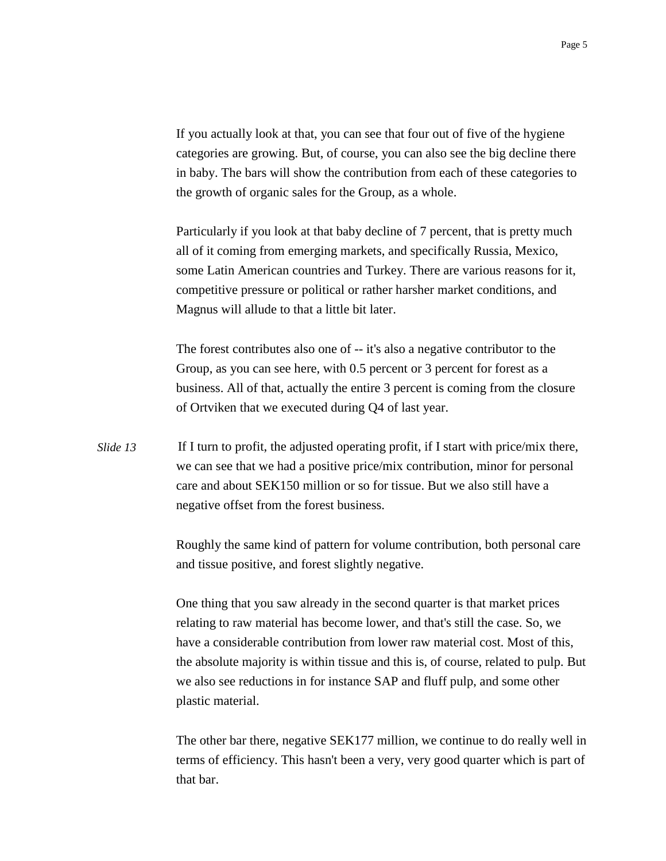If you actually look at that, you can see that four out of five of the hygiene categories are growing. But, of course, you can also see the big decline there in baby. The bars will show the contribution from each of these categories to the growth of organic sales for the Group, as a whole.

Particularly if you look at that baby decline of 7 percent, that is pretty much all of it coming from emerging markets, and specifically Russia, Mexico, some Latin American countries and Turkey. There are various reasons for it, competitive pressure or political or rather harsher market conditions, and Magnus will allude to that a little bit later.

The forest contributes also one of -- it's also a negative contributor to the Group, as you can see here, with 0.5 percent or 3 percent for forest as a business. All of that, actually the entire 3 percent is coming from the closure of Ortviken that we executed during Q4 of last year.

If I turn to profit, the adjusted operating profit, if I start with price/mix there, we can see that we had a positive price/mix contribution, minor for personal care and about SEK150 million or so for tissue. But we also still have a negative offset from the forest business. *Slide 13*

> Roughly the same kind of pattern for volume contribution, both personal care and tissue positive, and forest slightly negative.

One thing that you saw already in the second quarter is that market prices relating to raw material has become lower, and that's still the case. So, we have a considerable contribution from lower raw material cost. Most of this, the absolute majority is within tissue and this is, of course, related to pulp. But we also see reductions in for instance SAP and fluff pulp, and some other plastic material.

The other bar there, negative SEK177 million, we continue to do really well in terms of efficiency. This hasn't been a very, very good quarter which is part of that bar.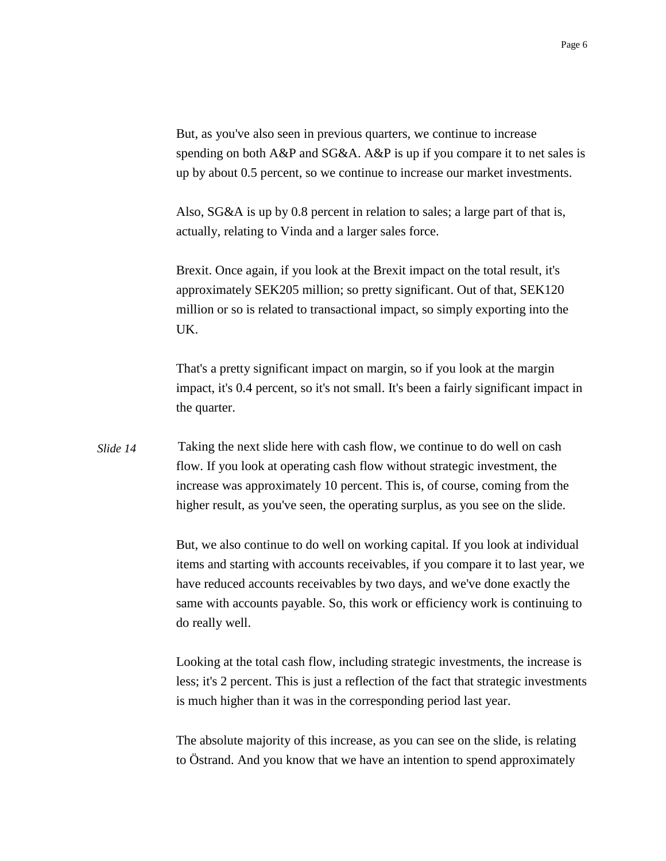But, as you've also seen in previous quarters, we continue to increase spending on both A&P and SG&A. A&P is up if you compare it to net sales is up by about 0.5 percent, so we continue to increase our market investments.

Also, SG&A is up by 0.8 percent in relation to sales; a large part of that is, actually, relating to Vinda and a larger sales force.

Brexit. Once again, if you look at the Brexit impact on the total result, it's approximately SEK205 million; so pretty significant. Out of that, SEK120 million or so is related to transactional impact, so simply exporting into the UK.

That's a pretty significant impact on margin, so if you look at the margin impact, it's 0.4 percent, so it's not small. It's been a fairly significant impact in the quarter.

Taking the next slide here with cash flow, we continue to do well on cash flow. If you look at operating cash flow without strategic investment, the increase was approximately 10 percent. This is, of course, coming from the higher result, as you've seen, the operating surplus, as you see on the slide. *Slide 14*

> But, we also continue to do well on working capital. If you look at individual items and starting with accounts receivables, if you compare it to last year, we have reduced accounts receivables by two days, and we've done exactly the same with accounts payable. So, this work or efficiency work is continuing to do really well.

> Looking at the total cash flow, including strategic investments, the increase is less; it's 2 percent. This is just a reflection of the fact that strategic investments is much higher than it was in the corresponding period last year.

The absolute majority of this increase, as you can see on the slide, is relating to Östrand. And you know that we have an intention to spend approximately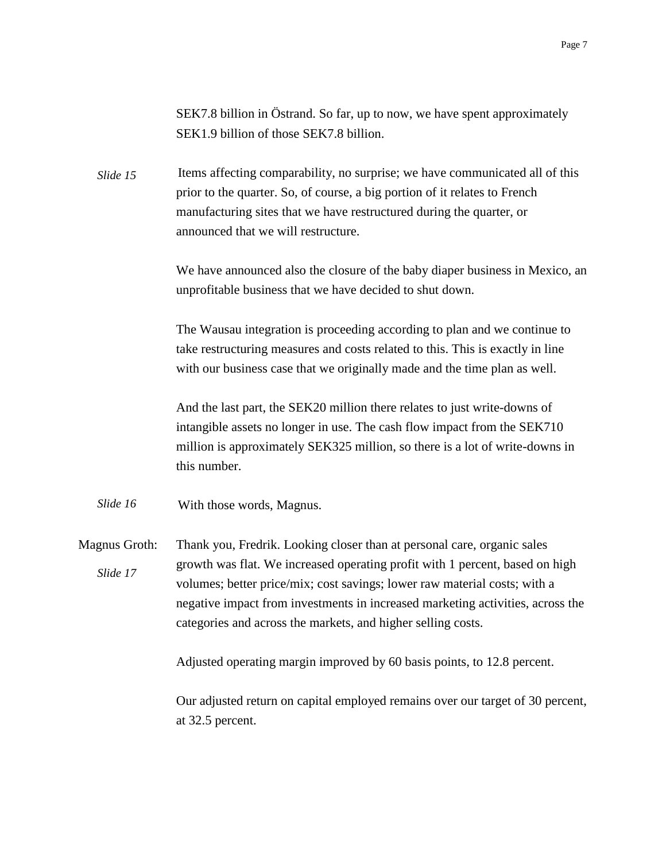SEK7.8 billion in Östrand. So far, up to now, we have spent approximately SEK1.9 billion of those SEK7.8 billion.

Items affecting comparability, no surprise; we have communicated all of this prior to the quarter. So, of course, a big portion of it relates to French manufacturing sites that we have restructured during the quarter, or announced that we will restructure. *Slide 15*

> We have announced also the closure of the baby diaper business in Mexico, an unprofitable business that we have decided to shut down.

The Wausau integration is proceeding according to plan and we continue to take restructuring measures and costs related to this. This is exactly in line with our business case that we originally made and the time plan as well.

And the last part, the SEK20 million there relates to just write-downs of intangible assets no longer in use. The cash flow impact from the SEK710 million is approximately SEK325 million, so there is a lot of write-downs in this number.

With those words, Magnus. *Slide 16*

Magnus Groth: Thank you, Fredrik. Looking closer than at personal care, organic sales growth was flat. We increased operating profit with 1 percent, based on high volumes; better price/mix; cost savings; lower raw material costs; with a negative impact from investments in increased marketing activities, across the categories and across the markets, and higher selling costs. *Slide 17*

Adjusted operating margin improved by 60 basis points, to 12.8 percent.

Our adjusted return on capital employed remains over our target of 30 percent, at 32.5 percent.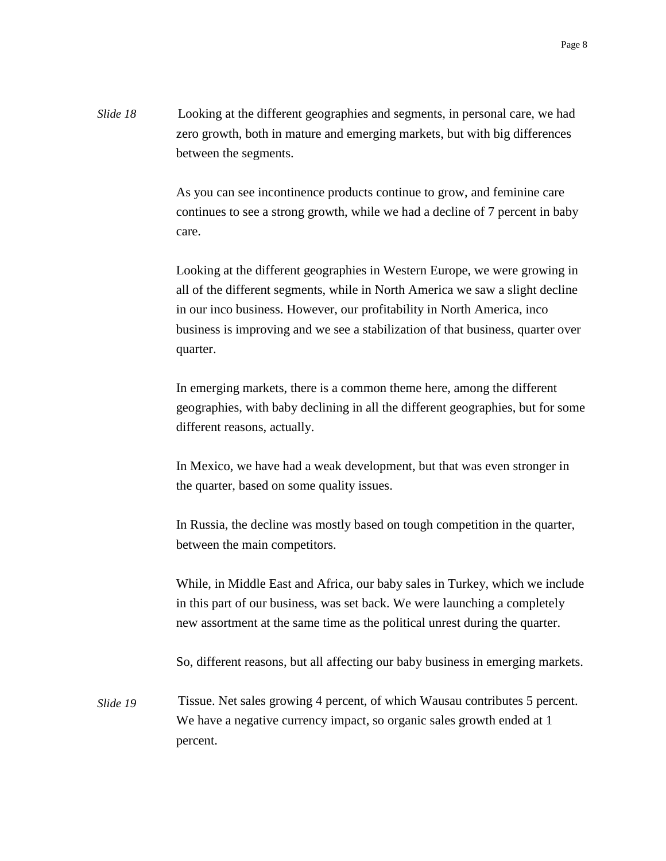Looking at the different geographies and segments, in personal care, we had zero growth, both in mature and emerging markets, but with big differences between the segments. *Slide 18*

> As you can see incontinence products continue to grow, and feminine care continues to see a strong growth, while we had a decline of 7 percent in baby care.

> Looking at the different geographies in Western Europe, we were growing in all of the different segments, while in North America we saw a slight decline in our inco business. However, our profitability in North America, inco business is improving and we see a stabilization of that business, quarter over quarter.

> In emerging markets, there is a common theme here, among the different geographies, with baby declining in all the different geographies, but for some different reasons, actually.

In Mexico, we have had a weak development, but that was even stronger in the quarter, based on some quality issues.

In Russia, the decline was mostly based on tough competition in the quarter, between the main competitors.

While, in Middle East and Africa, our baby sales in Turkey, which we include in this part of our business, was set back. We were launching a completely new assortment at the same time as the political unrest during the quarter.

So, different reasons, but all affecting our baby business in emerging markets.

Tissue. Net sales growing 4 percent, of which Wausau contributes 5 percent. We have a negative currency impact, so organic sales growth ended at 1 percent. *Slide 19*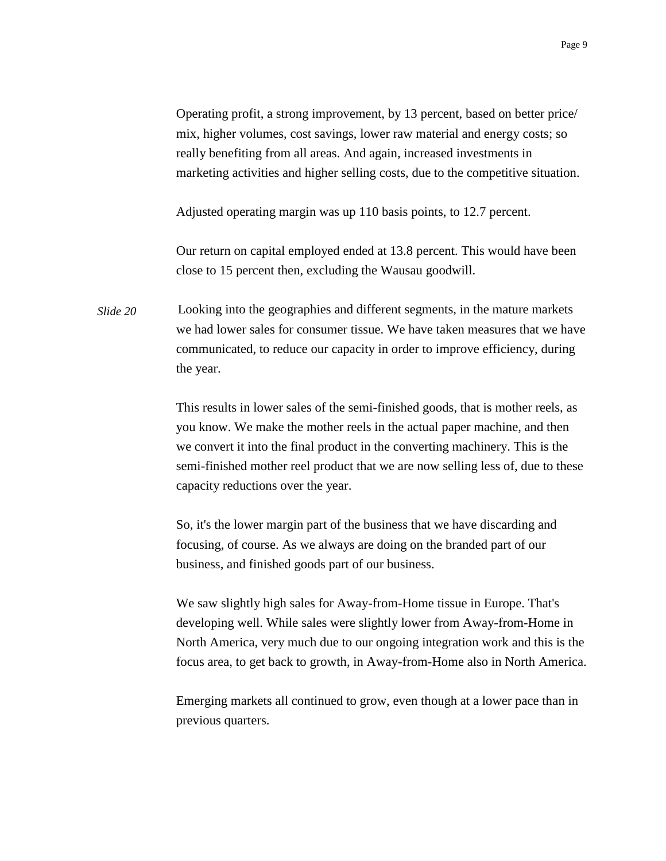Operating profit, a strong improvement, by 13 percent, based on better price/ mix, higher volumes, cost savings, lower raw material and energy costs; so really benefiting from all areas. And again, increased investments in marketing activities and higher selling costs, due to the competitive situation.

Adjusted operating margin was up 110 basis points, to 12.7 percent.

Our return on capital employed ended at 13.8 percent. This would have been close to 15 percent then, excluding the Wausau goodwill.

Looking into the geographies and different segments, in the mature markets we had lower sales for consumer tissue. We have taken measures that we have communicated, to reduce our capacity in order to improve efficiency, during the year. *Slide 20*

> This results in lower sales of the semi-finished goods, that is mother reels, as you know. We make the mother reels in the actual paper machine, and then we convert it into the final product in the converting machinery. This is the semi-finished mother reel product that we are now selling less of, due to these capacity reductions over the year.

So, it's the lower margin part of the business that we have discarding and focusing, of course. As we always are doing on the branded part of our business, and finished goods part of our business.

We saw slightly high sales for Away-from-Home tissue in Europe. That's developing well. While sales were slightly lower from Away-from-Home in North America, very much due to our ongoing integration work and this is the focus area, to get back to growth, in Away-from-Home also in North America.

Emerging markets all continued to grow, even though at a lower pace than in previous quarters.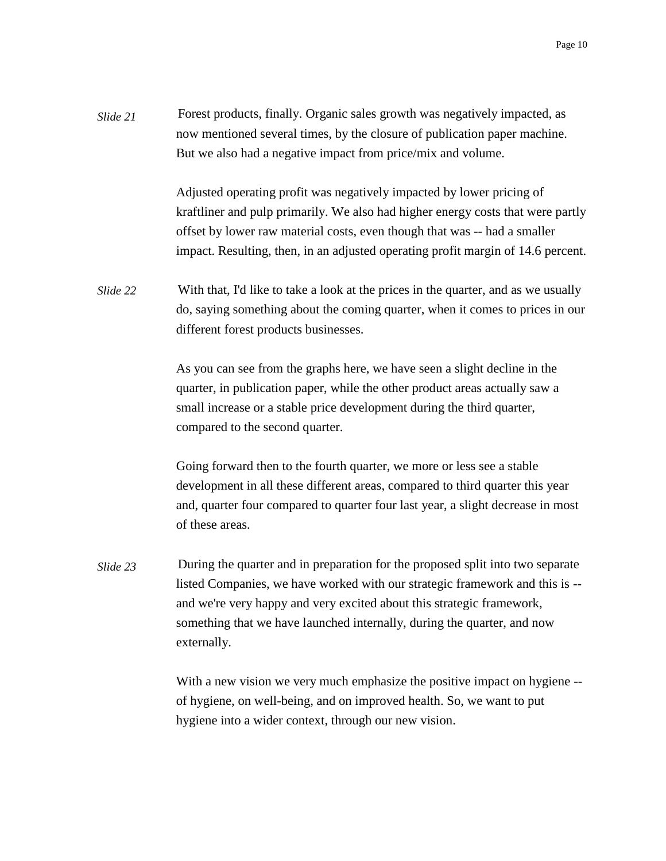Forest products, finally. Organic sales growth was negatively impacted, as now mentioned several times, by the closure of publication paper machine. But we also had a negative impact from price/mix and volume. *Slide 21*

> Adjusted operating profit was negatively impacted by lower pricing of kraftliner and pulp primarily. We also had higher energy costs that were partly offset by lower raw material costs, even though that was -- had a smaller impact. Resulting, then, in an adjusted operating profit margin of 14.6 percent.

With that, I'd like to take a look at the prices in the quarter, and as we usually do, saying something about the coming quarter, when it comes to prices in our different forest products businesses. *Slide 22*

> As you can see from the graphs here, we have seen a slight decline in the quarter, in publication paper, while the other product areas actually saw a small increase or a stable price development during the third quarter, compared to the second quarter.

Going forward then to the fourth quarter, we more or less see a stable development in all these different areas, compared to third quarter this year and, quarter four compared to quarter four last year, a slight decrease in most of these areas.

During the quarter and in preparation for the proposed split into two separate listed Companies, we have worked with our strategic framework and this is - and we're very happy and very excited about this strategic framework, something that we have launched internally, during the quarter, and now externally. *Slide 23*

> With a new vision we very much emphasize the positive impact on hygiene -of hygiene, on well-being, and on improved health. So, we want to put hygiene into a wider context, through our new vision.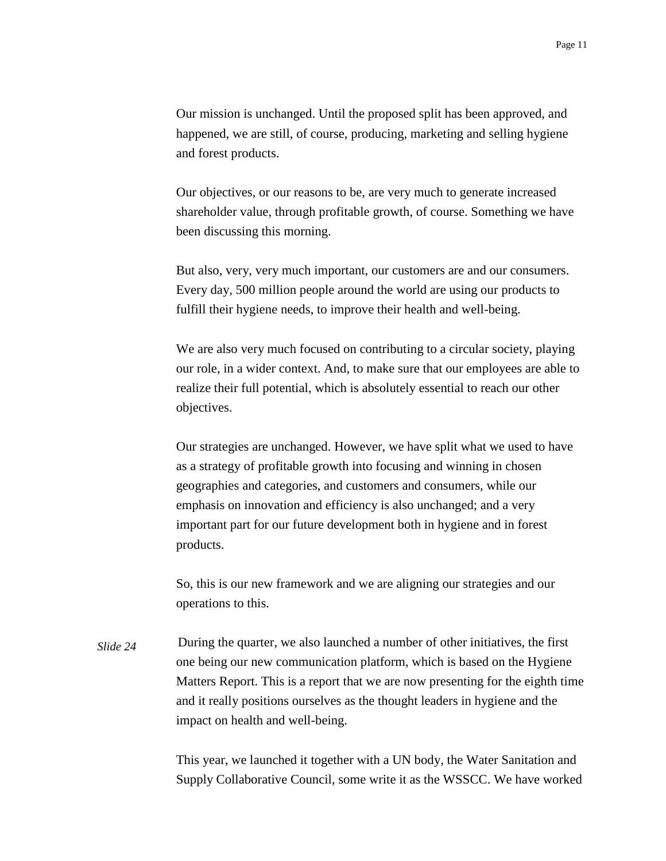Our mission is unchanged. Until the proposed split has been approved, and happened, we are still, of course, producing, marketing and selling hygiene and forest products.

Our objectives, or our reasons to be, are very much to generate increased shareholder value, through profitable growth, of course. Something we have been discussing this morning.

But also, very, very much important, our customers are and our consumers. Every day, 500 million people around the world are using our products to fulfill their hygiene needs, to improve their health and well-being.

We are also very much focused on contributing to a circular society, playing our role, in a wider context. And, to make sure that our employees are able to realize their full potential, which is absolutely essential to reach our other objectives.

Our strategies are unchanged. However, we have split what we used to have as a strategy of profitable growth into focusing and winning in chosen geographies and categories, and customers and consumers, while our emphasis on innovation and efficiency is also unchanged; and a very important part for our future development both in hygiene and in forest products.

So, this is our new framework and we are aligning our strategies and our operations to this.

During the quarter, we also launched a number of other initiatives, the first one being our new communication platform, which is based on the Hygiene Matters Report. This is a report that we are now presenting for the eighth time and it really positions ourselves as the thought leaders in hygiene and the impact on health and well-being. *Slide 24*

> This year, we launched it together with a UN body, the Water Sanitation and Supply Collaborative Council, some write it as the WSSCC. We have worked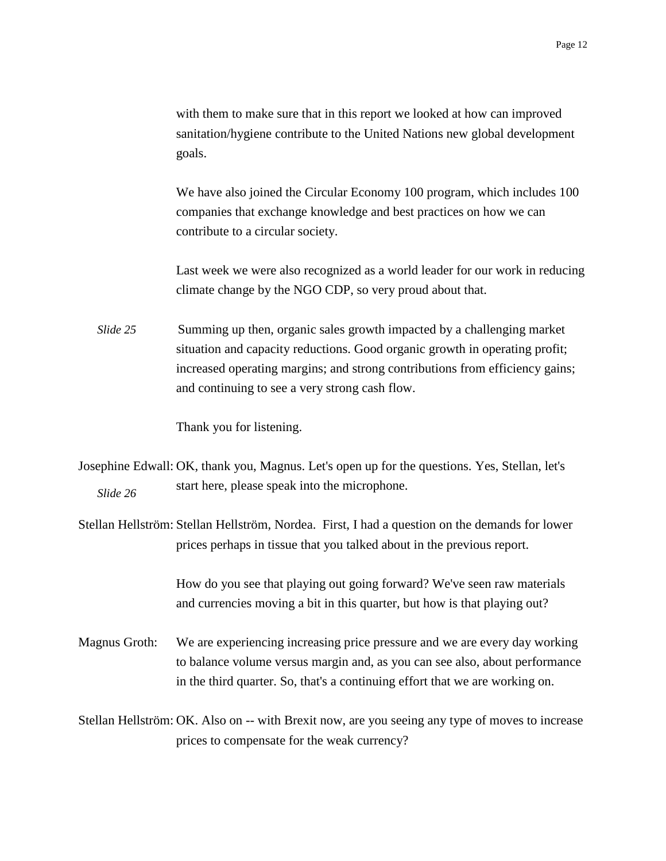with them to make sure that in this report we looked at how can improved sanitation/hygiene contribute to the United Nations new global development goals.

We have also joined the Circular Economy 100 program, which includes 100 companies that exchange knowledge and best practices on how we can contribute to a circular society.

Last week we were also recognized as a world leader for our work in reducing climate change by the NGO CDP, so very proud about that.

Summing up then, organic sales growth impacted by a challenging market situation and capacity reductions. Good organic growth in operating profit; increased operating margins; and strong contributions from efficiency gains; and continuing to see a very strong cash flow. *Slide 25*

Thank you for listening.

Josephine Edwall: OK, thank you, Magnus. Let's open up for the questions. Yes, Stellan, let's start here, please speak into the microphone. *Slide 26*

Stellan Hellström: Stellan Hellström, Nordea. First, I had a question on the demands for lower prices perhaps in tissue that you talked about in the previous report.

> How do you see that playing out going forward? We've seen raw materials and currencies moving a bit in this quarter, but how is that playing out?

Magnus Groth: We are experiencing increasing price pressure and we are every day working to balance volume versus margin and, as you can see also, about performance in the third quarter. So, that's a continuing effort that we are working on.

Stellan Hellström: OK. Also on -- with Brexit now, are you seeing any type of moves to increase prices to compensate for the weak currency?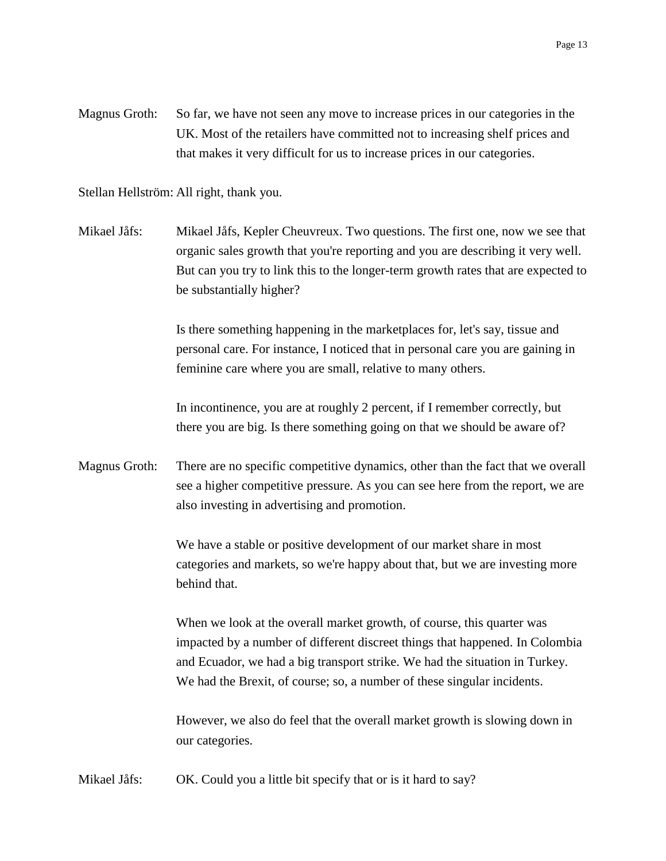Magnus Groth: So far, we have not seen any move to increase prices in our categories in the UK. Most of the retailers have committed not to increasing shelf prices and that makes it very difficult for us to increase prices in our categories.

Stellan Hellström: All right, thank you.

Mikael Jåfs: Mikael Jåfs, Kepler Cheuvreux. Two questions. The first one, now we see that organic sales growth that you're reporting and you are describing it very well. But can you try to link this to the longer-term growth rates that are expected to be substantially higher?

> Is there something happening in the marketplaces for, let's say, tissue and personal care. For instance, I noticed that in personal care you are gaining in feminine care where you are small, relative to many others.

In incontinence, you are at roughly 2 percent, if I remember correctly, but there you are big. Is there something going on that we should be aware of?

Magnus Groth: There are no specific competitive dynamics, other than the fact that we overall see a higher competitive pressure. As you can see here from the report, we are also investing in advertising and promotion.

> We have a stable or positive development of our market share in most categories and markets, so we're happy about that, but we are investing more behind that.

When we look at the overall market growth, of course, this quarter was impacted by a number of different discreet things that happened. In Colombia and Ecuador, we had a big transport strike. We had the situation in Turkey. We had the Brexit, of course; so, a number of these singular incidents.

However, we also do feel that the overall market growth is slowing down in our categories.

Mikael Jåfs: OK. Could you a little bit specify that or is it hard to say?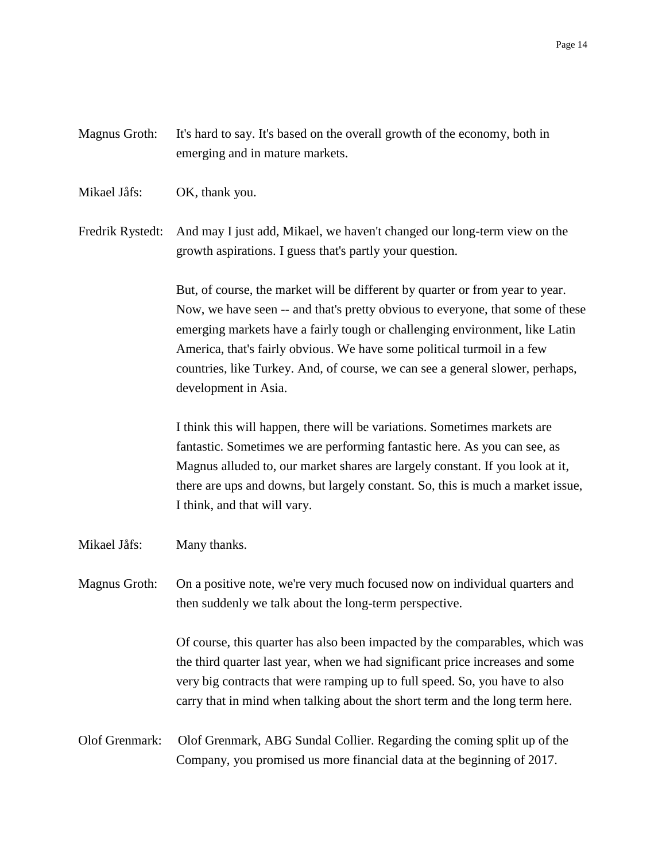## Magnus Groth: It's hard to say. It's based on the overall growth of the economy, both in emerging and in mature markets.

Mikael Jåfs: OK, thank you.

Fredrik Rystedt: And may I just add, Mikael, we haven't changed our long-term view on the growth aspirations. I guess that's partly your question.

> But, of course, the market will be different by quarter or from year to year. Now, we have seen -- and that's pretty obvious to everyone, that some of these emerging markets have a fairly tough or challenging environment, like Latin America, that's fairly obvious. We have some political turmoil in a few countries, like Turkey. And, of course, we can see a general slower, perhaps, development in Asia.

> I think this will happen, there will be variations. Sometimes markets are fantastic. Sometimes we are performing fantastic here. As you can see, as Magnus alluded to, our market shares are largely constant. If you look at it, there are ups and downs, but largely constant. So, this is much a market issue, I think, and that will vary.

Mikael Jåfs: Many thanks.

Magnus Groth: On a positive note, we're very much focused now on individual quarters and then suddenly we talk about the long-term perspective.

> Of course, this quarter has also been impacted by the comparables, which was the third quarter last year, when we had significant price increases and some very big contracts that were ramping up to full speed. So, you have to also carry that in mind when talking about the short term and the long term here.

## Olof Grenmark: Olof Grenmark, ABG Sundal Collier. Regarding the coming split up of the Company, you promised us more financial data at the beginning of 2017.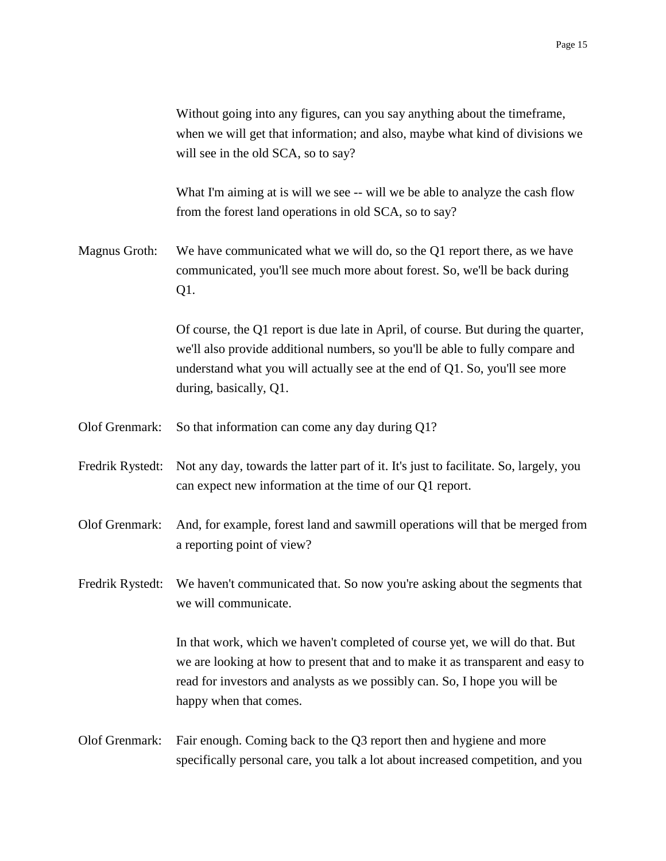|                  | Without going into any figures, can you say anything about the time frame,<br>when we will get that information; and also, maybe what kind of divisions we<br>will see in the old SCA, so to say?                                                                           |  |  |
|------------------|-----------------------------------------------------------------------------------------------------------------------------------------------------------------------------------------------------------------------------------------------------------------------------|--|--|
|                  | What I'm aiming at is will we see -- will we be able to analyze the cash flow<br>from the forest land operations in old SCA, so to say?                                                                                                                                     |  |  |
| Magnus Groth:    | We have communicated what we will do, so the Q1 report there, as we have<br>communicated, you'll see much more about forest. So, we'll be back during<br>Q1.                                                                                                                |  |  |
|                  | Of course, the Q1 report is due late in April, of course. But during the quarter,<br>we'll also provide additional numbers, so you'll be able to fully compare and<br>understand what you will actually see at the end of Q1. So, you'll see more<br>during, basically, Q1. |  |  |
| Olof Grenmark:   | So that information can come any day during Q1?                                                                                                                                                                                                                             |  |  |
| Fredrik Rystedt: | Not any day, towards the latter part of it. It's just to facilitate. So, largely, you<br>can expect new information at the time of our Q1 report.                                                                                                                           |  |  |
| Olof Grenmark:   | And, for example, forest land and sawmill operations will that be merged from<br>a reporting point of view?                                                                                                                                                                 |  |  |
| Fredrik Rystedt: | We haven't communicated that. So now you're asking about the segments that<br>we will communicate.                                                                                                                                                                          |  |  |
|                  | In that work, which we haven't completed of course yet, we will do that. But<br>we are looking at how to present that and to make it as transparent and easy to<br>read for investors and analysts as we possibly can. So, I hope you will be<br>happy when that comes.     |  |  |
| Olof Grenmark:   | Fair enough. Coming back to the Q3 report then and hygiene and more<br>specifically personal care, you talk a lot about increased competition, and you                                                                                                                      |  |  |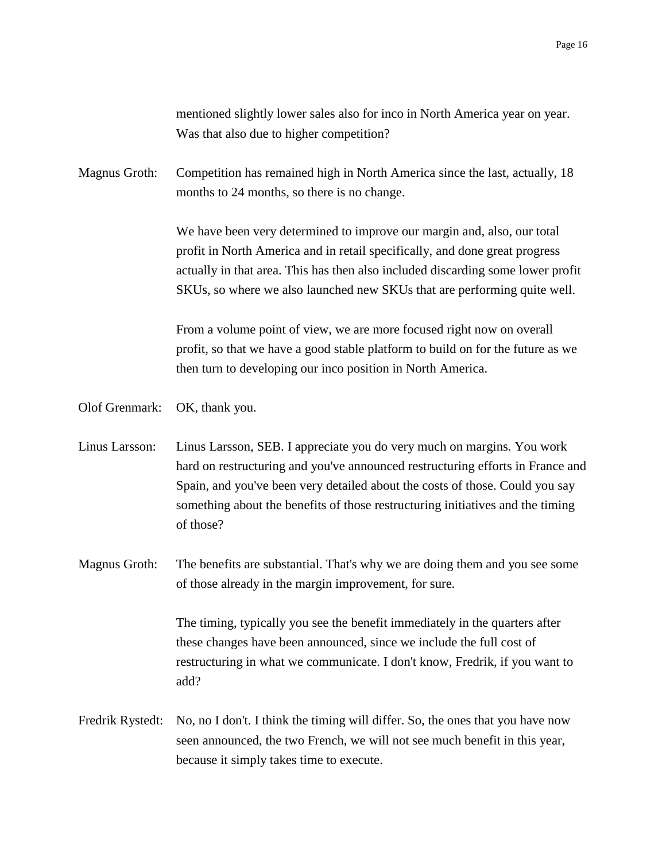mentioned slightly lower sales also for inco in North America year on year. Was that also due to higher competition?

Magnus Groth: Competition has remained high in North America since the last, actually, 18 months to 24 months, so there is no change.

> We have been very determined to improve our margin and, also, our total profit in North America and in retail specifically, and done great progress actually in that area. This has then also included discarding some lower profit SKUs, so where we also launched new SKUs that are performing quite well.

> From a volume point of view, we are more focused right now on overall profit, so that we have a good stable platform to build on for the future as we then turn to developing our inco position in North America.

Olof Grenmark: OK, thank you.

Linus Larsson: Linus Larsson, SEB. I appreciate you do very much on margins. You work hard on restructuring and you've announced restructuring efforts in France and Spain, and you've been very detailed about the costs of those. Could you say something about the benefits of those restructuring initiatives and the timing of those?

Magnus Groth: The benefits are substantial. That's why we are doing them and you see some of those already in the margin improvement, for sure.

> The timing, typically you see the benefit immediately in the quarters after these changes have been announced, since we include the full cost of restructuring in what we communicate. I don't know, Fredrik, if you want to add?

Fredrik Rystedt: No, no I don't. I think the timing will differ. So, the ones that you have now seen announced, the two French, we will not see much benefit in this year, because it simply takes time to execute.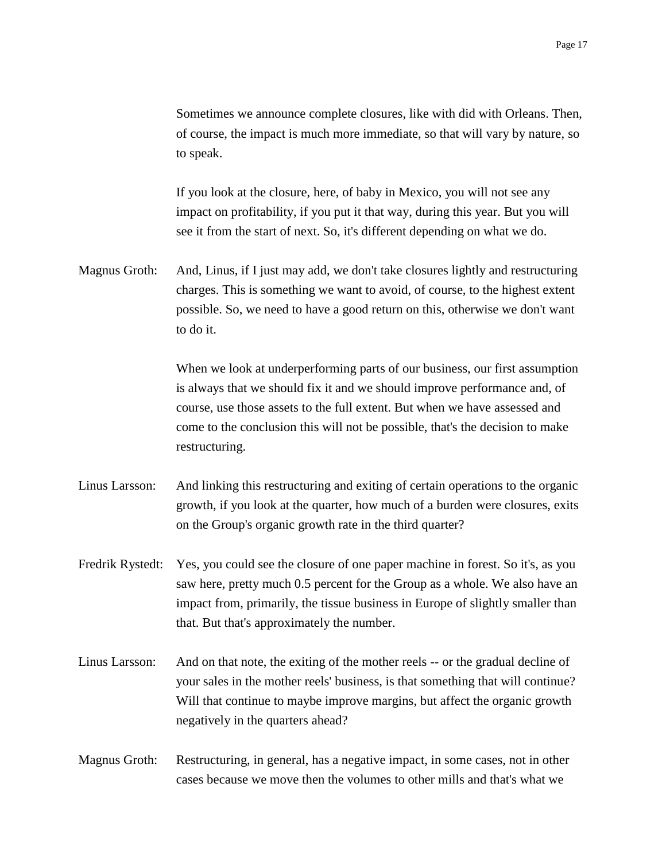Sometimes we announce complete closures, like with did with Orleans. Then, of course, the impact is much more immediate, so that will vary by nature, so to speak.

If you look at the closure, here, of baby in Mexico, you will not see any impact on profitability, if you put it that way, during this year. But you will see it from the start of next. So, it's different depending on what we do.

Magnus Groth: And, Linus, if I just may add, we don't take closures lightly and restructuring charges. This is something we want to avoid, of course, to the highest extent possible. So, we need to have a good return on this, otherwise we don't want to do it.

> When we look at underperforming parts of our business, our first assumption is always that we should fix it and we should improve performance and, of course, use those assets to the full extent. But when we have assessed and come to the conclusion this will not be possible, that's the decision to make restructuring.

- Linus Larsson: And linking this restructuring and exiting of certain operations to the organic growth, if you look at the quarter, how much of a burden were closures, exits on the Group's organic growth rate in the third quarter?
- Fredrik Rystedt: Yes, you could see the closure of one paper machine in forest. So it's, as you saw here, pretty much 0.5 percent for the Group as a whole. We also have an impact from, primarily, the tissue business in Europe of slightly smaller than that. But that's approximately the number.
- Linus Larsson: And on that note, the exiting of the mother reels -- or the gradual decline of your sales in the mother reels' business, is that something that will continue? Will that continue to maybe improve margins, but affect the organic growth negatively in the quarters ahead?
- Magnus Groth: Restructuring, in general, has a negative impact, in some cases, not in other cases because we move then the volumes to other mills and that's what we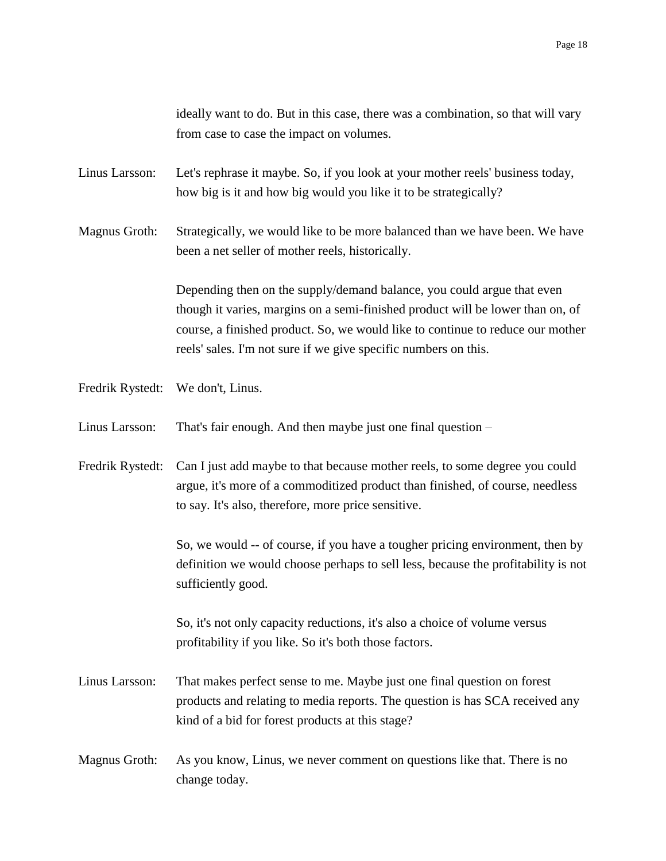ideally want to do. But in this case, there was a combination, so that will vary from case to case the impact on volumes.

Linus Larsson: Let's rephrase it maybe. So, if you look at your mother reels' business today, how big is it and how big would you like it to be strategically?

Magnus Groth: Strategically, we would like to be more balanced than we have been. We have been a net seller of mother reels, historically.

> Depending then on the supply/demand balance, you could argue that even though it varies, margins on a semi-finished product will be lower than on, of course, a finished product. So, we would like to continue to reduce our mother reels' sales. I'm not sure if we give specific numbers on this.

Fredrik Rystedt: We don't, Linus.

Linus Larsson: That's fair enough. And then maybe just one final question –

Fredrik Rystedt: Can I just add maybe to that because mother reels, to some degree you could argue, it's more of a commoditized product than finished, of course, needless to say. It's also, therefore, more price sensitive.

> So, we would -- of course, if you have a tougher pricing environment, then by definition we would choose perhaps to sell less, because the profitability is not sufficiently good.

So, it's not only capacity reductions, it's also a choice of volume versus profitability if you like. So it's both those factors.

- Linus Larsson: That makes perfect sense to me. Maybe just one final question on forest products and relating to media reports. The question is has SCA received any kind of a bid for forest products at this stage?
- Magnus Groth: As you know, Linus, we never comment on questions like that. There is no change today.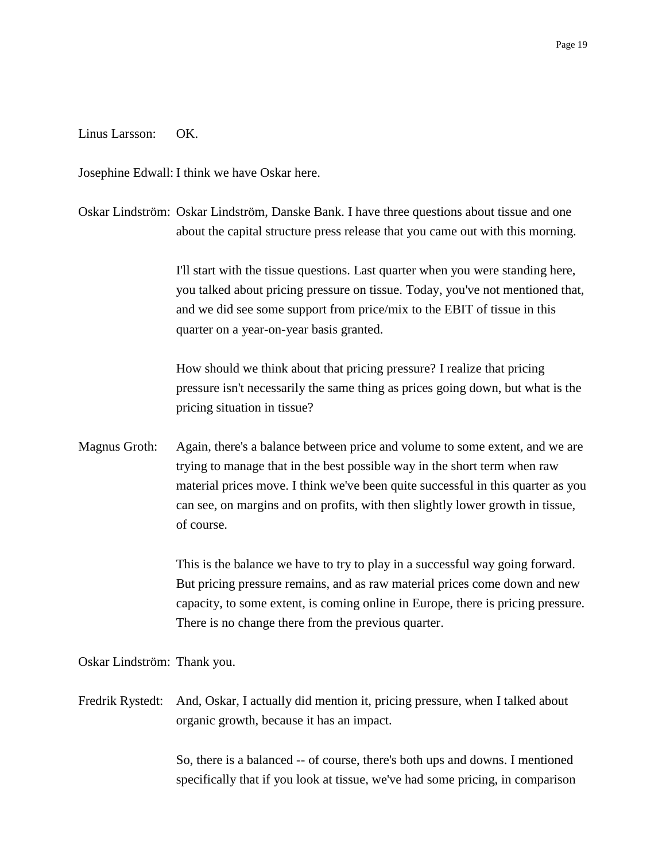## Linus Larsson: OK.

Josephine Edwall: I think we have Oskar here.

Oskar Lindström: Oskar Lindström, Danske Bank. I have three questions about tissue and one about the capital structure press release that you came out with this morning.

> I'll start with the tissue questions. Last quarter when you were standing here, you talked about pricing pressure on tissue. Today, you've not mentioned that, and we did see some support from price/mix to the EBIT of tissue in this quarter on a year-on-year basis granted.

> How should we think about that pricing pressure? I realize that pricing pressure isn't necessarily the same thing as prices going down, but what is the pricing situation in tissue?

Magnus Groth: Again, there's a balance between price and volume to some extent, and we are trying to manage that in the best possible way in the short term when raw material prices move. I think we've been quite successful in this quarter as you can see, on margins and on profits, with then slightly lower growth in tissue, of course.

> This is the balance we have to try to play in a successful way going forward. But pricing pressure remains, and as raw material prices come down and new capacity, to some extent, is coming online in Europe, there is pricing pressure. There is no change there from the previous quarter.

Oskar Lindström: Thank you.

Fredrik Rystedt: And, Oskar, I actually did mention it, pricing pressure, when I talked about organic growth, because it has an impact.

> So, there is a balanced -- of course, there's both ups and downs. I mentioned specifically that if you look at tissue, we've had some pricing, in comparison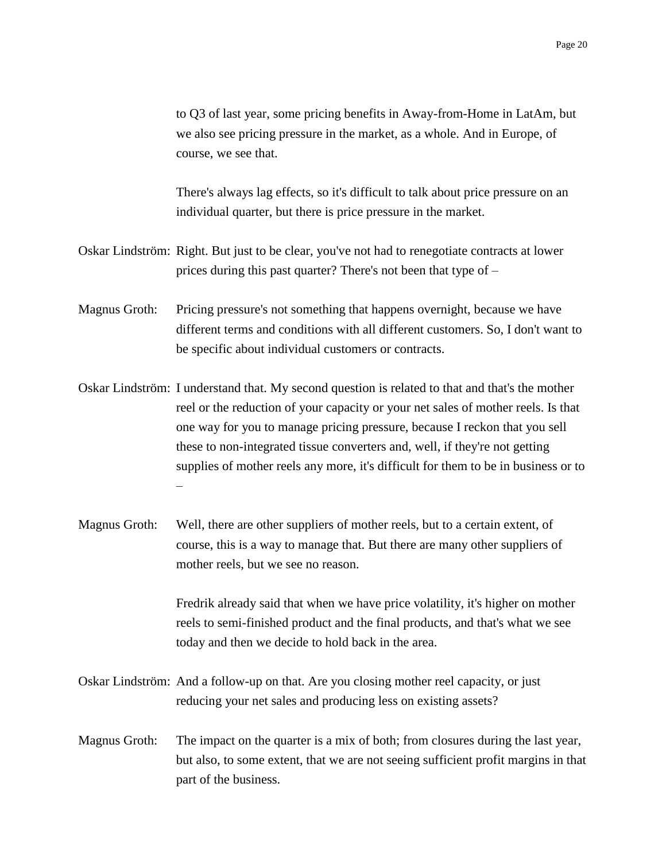to Q3 of last year, some pricing benefits in Away-from-Home in LatAm, but we also see pricing pressure in the market, as a whole. And in Europe, of course, we see that.

There's always lag effects, so it's difficult to talk about price pressure on an individual quarter, but there is price pressure in the market.

- Oskar Lindström: Right. But just to be clear, you've not had to renegotiate contracts at lower prices during this past quarter? There's not been that type of –
- Magnus Groth: Pricing pressure's not something that happens overnight, because we have different terms and conditions with all different customers. So, I don't want to be specific about individual customers or contracts.
- Oskar Lindström: I understand that. My second question is related to that and that's the mother reel or the reduction of your capacity or your net sales of mother reels. Is that one way for you to manage pricing pressure, because I reckon that you sell these to non-integrated tissue converters and, well, if they're not getting supplies of mother reels any more, it's difficult for them to be in business or to –
- Magnus Groth: Well, there are other suppliers of mother reels, but to a certain extent, of course, this is a way to manage that. But there are many other suppliers of mother reels, but we see no reason.

Fredrik already said that when we have price volatility, it's higher on mother reels to semi-finished product and the final products, and that's what we see today and then we decide to hold back in the area.

- Oskar Lindström: And a follow-up on that. Are you closing mother reel capacity, or just reducing your net sales and producing less on existing assets?
- Magnus Groth: The impact on the quarter is a mix of both; from closures during the last year, but also, to some extent, that we are not seeing sufficient profit margins in that part of the business.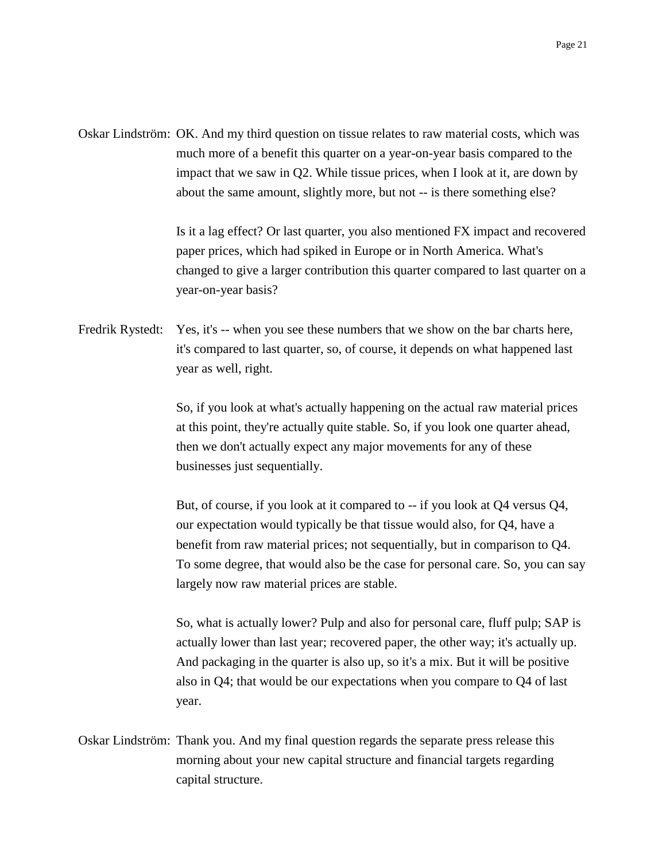Oskar Lindström: OK. And my third question on tissue relates to raw material costs, which was much more of a benefit this quarter on a year-on-year basis compared to the impact that we saw in Q2. While tissue prices, when I look at it, are down by about the same amount, slightly more, but not -- is there something else?

> Is it a lag effect? Or last quarter, you also mentioned FX impact and recovered paper prices, which had spiked in Europe or in North America. What's changed to give a larger contribution this quarter compared to last quarter on a year-on-year basis?

Fredrik Rystedt: Yes, it's -- when you see these numbers that we show on the bar charts here, it's compared to last quarter, so, of course, it depends on what happened last year as well, right.

> So, if you look at what's actually happening on the actual raw material prices at this point, they're actually quite stable. So, if you look one quarter ahead, then we don't actually expect any major movements for any of these businesses just sequentially.

But, of course, if you look at it compared to -- if you look at Q4 versus Q4, our expectation would typically be that tissue would also, for Q4, have a benefit from raw material prices; not sequentially, but in comparison to Q4. To some degree, that would also be the case for personal care. So, you can say largely now raw material prices are stable.

So, what is actually lower? Pulp and also for personal care, fluff pulp; SAP is actually lower than last year; recovered paper, the other way; it's actually up. And packaging in the quarter is also up, so it's a mix. But it will be positive also in Q4; that would be our expectations when you compare to Q4 of last year.

Oskar Lindström: Thank you. And my final question regards the separate press release this morning about your new capital structure and financial targets regarding capital structure.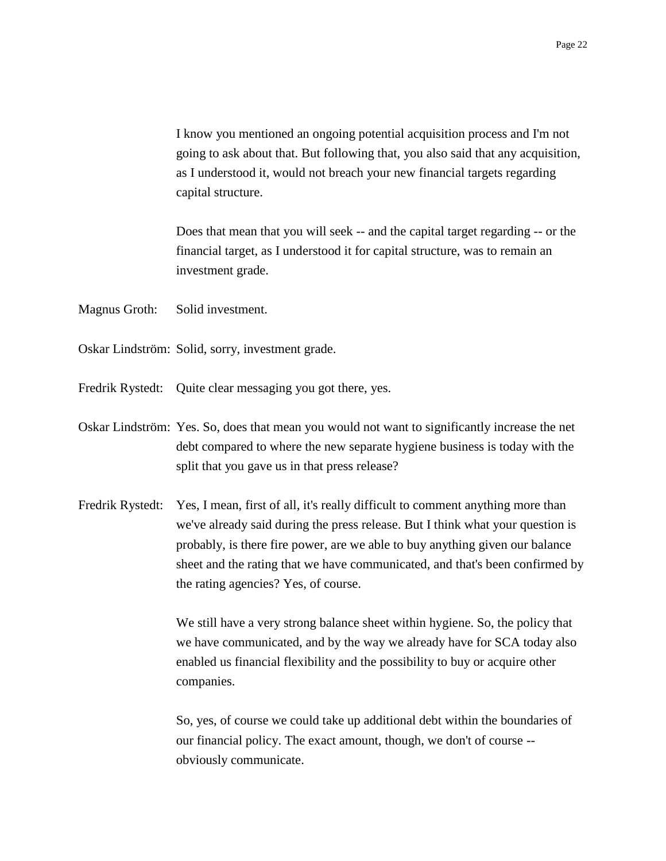I know you mentioned an ongoing potential acquisition process and I'm not going to ask about that. But following that, you also said that any acquisition, as I understood it, would not breach your new financial targets regarding capital structure.

Does that mean that you will seek -- and the capital target regarding -- or the financial target, as I understood it for capital structure, was to remain an investment grade.

- Magnus Groth: Solid investment.
- Oskar Lindström: Solid, sorry, investment grade.
- Fredrik Rystedt: Quite clear messaging you got there, yes.
- Oskar Lindström: Yes. So, does that mean you would not want to significantly increase the net debt compared to where the new separate hygiene business is today with the split that you gave us in that press release?
- Fredrik Rystedt: Yes, I mean, first of all, it's really difficult to comment anything more than we've already said during the press release. But I think what your question is probably, is there fire power, are we able to buy anything given our balance sheet and the rating that we have communicated, and that's been confirmed by the rating agencies? Yes, of course.

We still have a very strong balance sheet within hygiene. So, the policy that we have communicated, and by the way we already have for SCA today also enabled us financial flexibility and the possibility to buy or acquire other companies.

So, yes, of course we could take up additional debt within the boundaries of our financial policy. The exact amount, though, we don't of course - obviously communicate.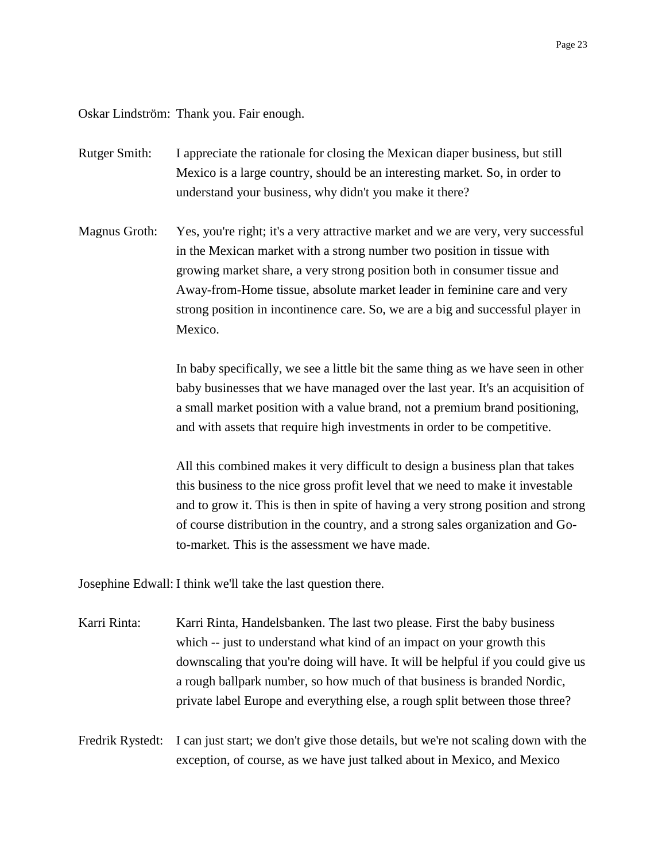Oskar Lindström: Thank you. Fair enough.

- Rutger Smith: I appreciate the rationale for closing the Mexican diaper business, but still Mexico is a large country, should be an interesting market. So, in order to understand your business, why didn't you make it there?
- Magnus Groth: Yes, you're right; it's a very attractive market and we are very, very successful in the Mexican market with a strong number two position in tissue with growing market share, a very strong position both in consumer tissue and Away-from-Home tissue, absolute market leader in feminine care and very strong position in incontinence care. So, we are a big and successful player in Mexico.

In baby specifically, we see a little bit the same thing as we have seen in other baby businesses that we have managed over the last year. It's an acquisition of a small market position with a value brand, not a premium brand positioning, and with assets that require high investments in order to be competitive.

All this combined makes it very difficult to design a business plan that takes this business to the nice gross profit level that we need to make it investable and to grow it. This is then in spite of having a very strong position and strong of course distribution in the country, and a strong sales organization and Goto-market. This is the assessment we have made.

Josephine Edwall: I think we'll take the last question there.

Karri Rinta: Karri Rinta, Handelsbanken. The last two please. First the baby business which -- just to understand what kind of an impact on your growth this downscaling that you're doing will have. It will be helpful if you could give us a rough ballpark number, so how much of that business is branded Nordic, private label Europe and everything else, a rough split between those three?

Fredrik Rystedt: I can just start; we don't give those details, but we're not scaling down with the exception, of course, as we have just talked about in Mexico, and Mexico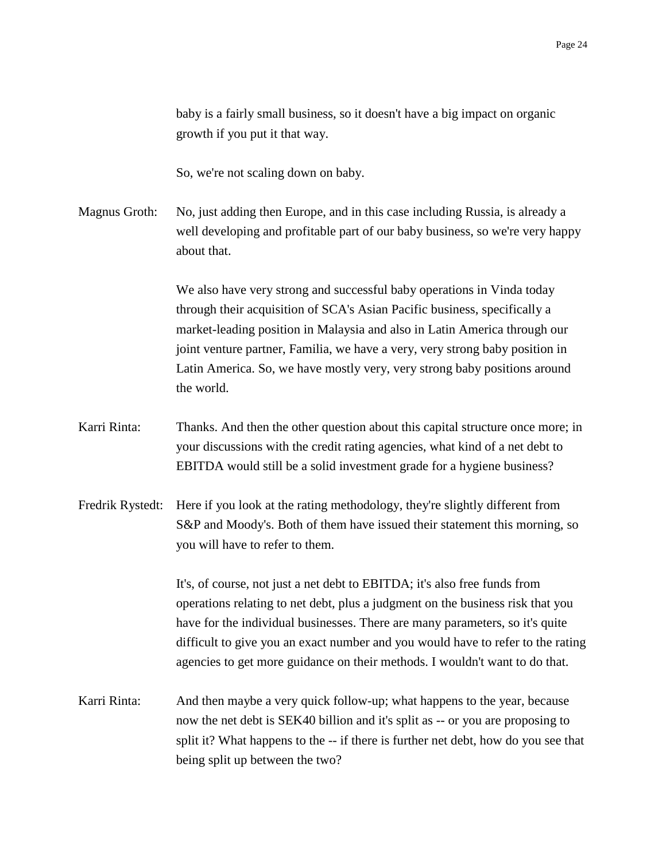baby is a fairly small business, so it doesn't have a big impact on organic growth if you put it that way.

So, we're not scaling down on baby.

Magnus Groth: No, just adding then Europe, and in this case including Russia, is already a well developing and profitable part of our baby business, so we're very happy about that.

> We also have very strong and successful baby operations in Vinda today through their acquisition of SCA's Asian Pacific business, specifically a market-leading position in Malaysia and also in Latin America through our joint venture partner, Familia, we have a very, very strong baby position in Latin America. So, we have mostly very, very strong baby positions around the world.

- Karri Rinta: Thanks. And then the other question about this capital structure once more; in your discussions with the credit rating agencies, what kind of a net debt to EBITDA would still be a solid investment grade for a hygiene business?
- Fredrik Rystedt: Here if you look at the rating methodology, they're slightly different from S&P and Moody's. Both of them have issued their statement this morning, so you will have to refer to them.

It's, of course, not just a net debt to EBITDA; it's also free funds from operations relating to net debt, plus a judgment on the business risk that you have for the individual businesses. There are many parameters, so it's quite difficult to give you an exact number and you would have to refer to the rating agencies to get more guidance on their methods. I wouldn't want to do that.

Karri Rinta: And then maybe a very quick follow-up; what happens to the year, because now the net debt is SEK40 billion and it's split as -- or you are proposing to split it? What happens to the -- if there is further net debt, how do you see that being split up between the two?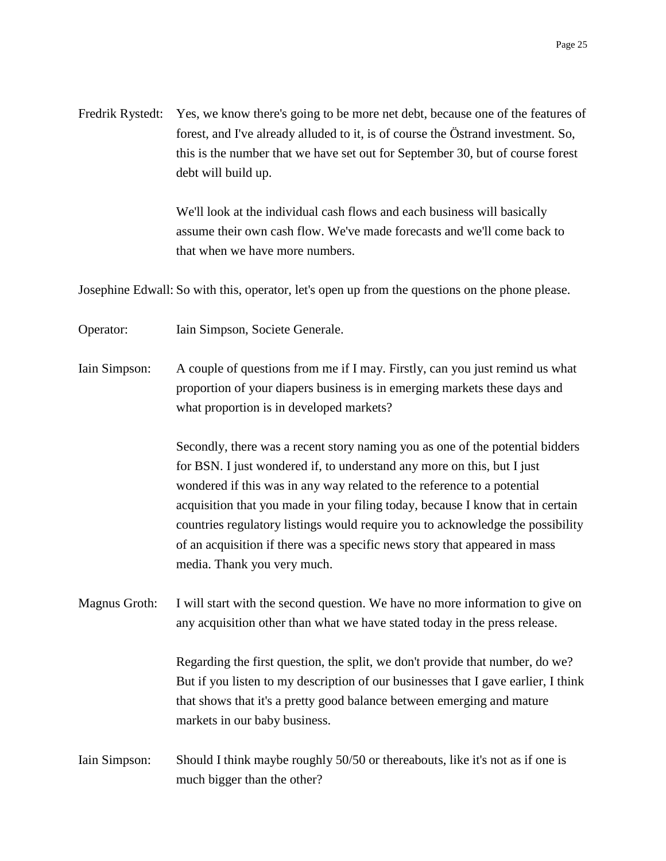Fredrik Rystedt: Yes, we know there's going to be more net debt, because one of the features of forest, and I've already alluded to it, is of course the Östrand investment. So, this is the number that we have set out for September 30, but of course forest debt will build up.

> We'll look at the individual cash flows and each business will basically assume their own cash flow. We've made forecasts and we'll come back to that when we have more numbers.

Josephine Edwall: So with this, operator, let's open up from the questions on the phone please.

Operator: Iain Simpson, Societe Generale.

Iain Simpson: A couple of questions from me if I may. Firstly, can you just remind us what proportion of your diapers business is in emerging markets these days and what proportion is in developed markets?

> Secondly, there was a recent story naming you as one of the potential bidders for BSN. I just wondered if, to understand any more on this, but I just wondered if this was in any way related to the reference to a potential acquisition that you made in your filing today, because I know that in certain countries regulatory listings would require you to acknowledge the possibility of an acquisition if there was a specific news story that appeared in mass media. Thank you very much.

Magnus Groth: I will start with the second question. We have no more information to give on any acquisition other than what we have stated today in the press release.

> Regarding the first question, the split, we don't provide that number, do we? But if you listen to my description of our businesses that I gave earlier, I think that shows that it's a pretty good balance between emerging and mature markets in our baby business.

Iain Simpson: Should I think maybe roughly 50/50 or thereabouts, like it's not as if one is much bigger than the other?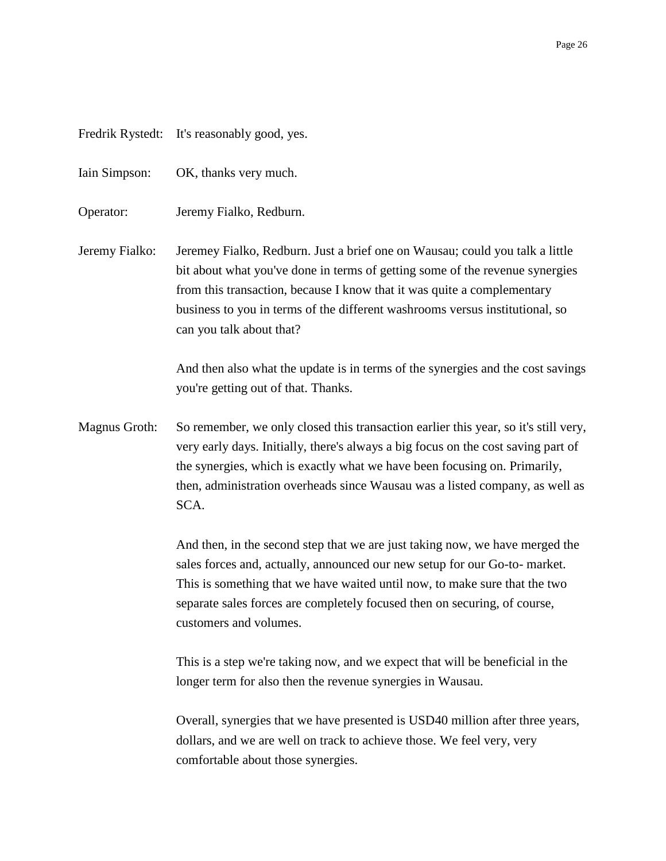|  |  | Fredrik Rystedt: | It's reasonably good, yes. |
|--|--|------------------|----------------------------|
|--|--|------------------|----------------------------|

Iain Simpson: OK, thanks very much.

Operator: Jeremy Fialko, Redburn.

Jeremy Fialko: Jeremey Fialko, Redburn. Just a brief one on Wausau; could you talk a little bit about what you've done in terms of getting some of the revenue synergies from this transaction, because I know that it was quite a complementary business to you in terms of the different washrooms versus institutional, so can you talk about that?

> And then also what the update is in terms of the synergies and the cost savings you're getting out of that. Thanks.

Magnus Groth: So remember, we only closed this transaction earlier this year, so it's still very, very early days. Initially, there's always a big focus on the cost saving part of the synergies, which is exactly what we have been focusing on. Primarily, then, administration overheads since Wausau was a listed company, as well as SCA.

> And then, in the second step that we are just taking now, we have merged the sales forces and, actually, announced our new setup for our Go-to- market. This is something that we have waited until now, to make sure that the two separate sales forces are completely focused then on securing, of course, customers and volumes.

This is a step we're taking now, and we expect that will be beneficial in the longer term for also then the revenue synergies in Wausau.

Overall, synergies that we have presented is USD40 million after three years, dollars, and we are well on track to achieve those. We feel very, very comfortable about those synergies.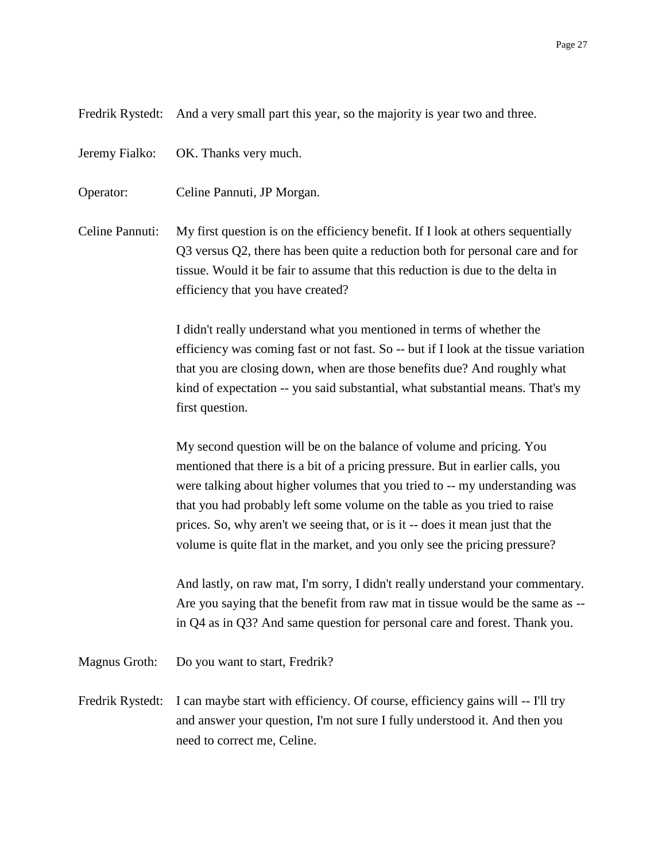Fredrik Rystedt: And a very small part this year, so the majority is year two and three.

Jeremy Fialko: OK. Thanks very much.

Operator: Celine Pannuti, JP Morgan.

Celine Pannuti: My first question is on the efficiency benefit. If I look at others sequentially Q3 versus Q2, there has been quite a reduction both for personal care and for tissue. Would it be fair to assume that this reduction is due to the delta in efficiency that you have created?

> I didn't really understand what you mentioned in terms of whether the efficiency was coming fast or not fast. So -- but if I look at the tissue variation that you are closing down, when are those benefits due? And roughly what kind of expectation -- you said substantial, what substantial means. That's my first question.

My second question will be on the balance of volume and pricing. You mentioned that there is a bit of a pricing pressure. But in earlier calls, you were talking about higher volumes that you tried to -- my understanding was that you had probably left some volume on the table as you tried to raise prices. So, why aren't we seeing that, or is it -- does it mean just that the volume is quite flat in the market, and you only see the pricing pressure?

And lastly, on raw mat, I'm sorry, I didn't really understand your commentary. Are you saying that the benefit from raw mat in tissue would be the same as - in Q4 as in Q3? And same question for personal care and forest. Thank you.

Magnus Groth: Do you want to start, Fredrik?

Fredrik Rystedt: I can maybe start with efficiency. Of course, efficiency gains will -- I'll try and answer your question, I'm not sure I fully understood it. And then you need to correct me, Celine.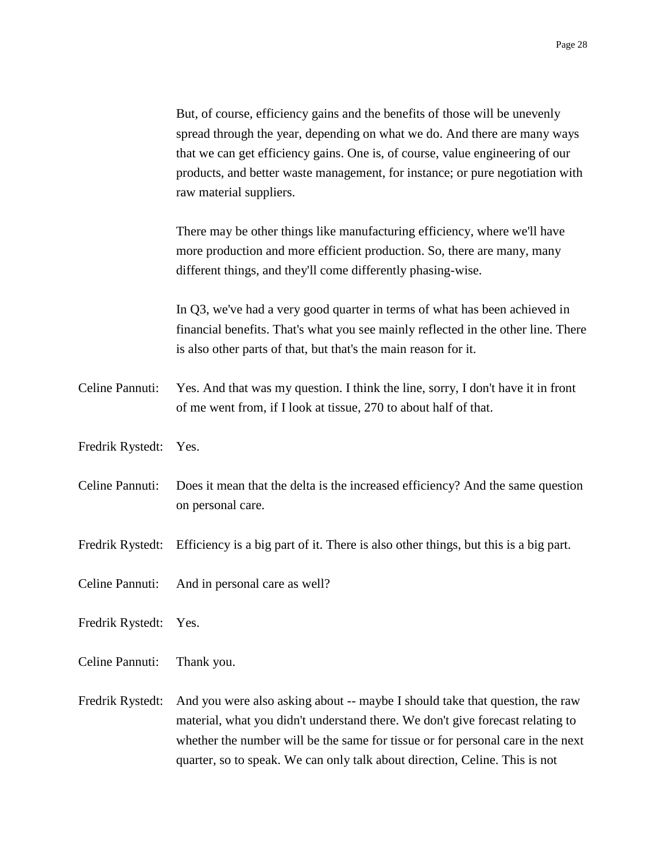But, of course, efficiency gains and the benefits of those will be unevenly spread through the year, depending on what we do. And there are many ways that we can get efficiency gains. One is, of course, value engineering of our products, and better waste management, for instance; or pure negotiation with raw material suppliers.

There may be other things like manufacturing efficiency, where we'll have more production and more efficient production. So, there are many, many different things, and they'll come differently phasing-wise.

In Q3, we've had a very good quarter in terms of what has been achieved in financial benefits. That's what you see mainly reflected in the other line. There is also other parts of that, but that's the main reason for it.

- Celine Pannuti: Yes. And that was my question. I think the line, sorry, I don't have it in front of me went from, if I look at tissue, 270 to about half of that.
- Fredrik Rystedt: Yes.
- Celine Pannuti: Does it mean that the delta is the increased efficiency? And the same question on personal care.
- Fredrik Rystedt: Efficiency is a big part of it. There is also other things, but this is a big part.
- Celine Pannuti: And in personal care as well?
- Fredrik Rystedt: Yes.
- Celine Pannuti: Thank you.
- Fredrik Rystedt: And you were also asking about -- maybe I should take that question, the raw material, what you didn't understand there. We don't give forecast relating to whether the number will be the same for tissue or for personal care in the next quarter, so to speak. We can only talk about direction, Celine. This is not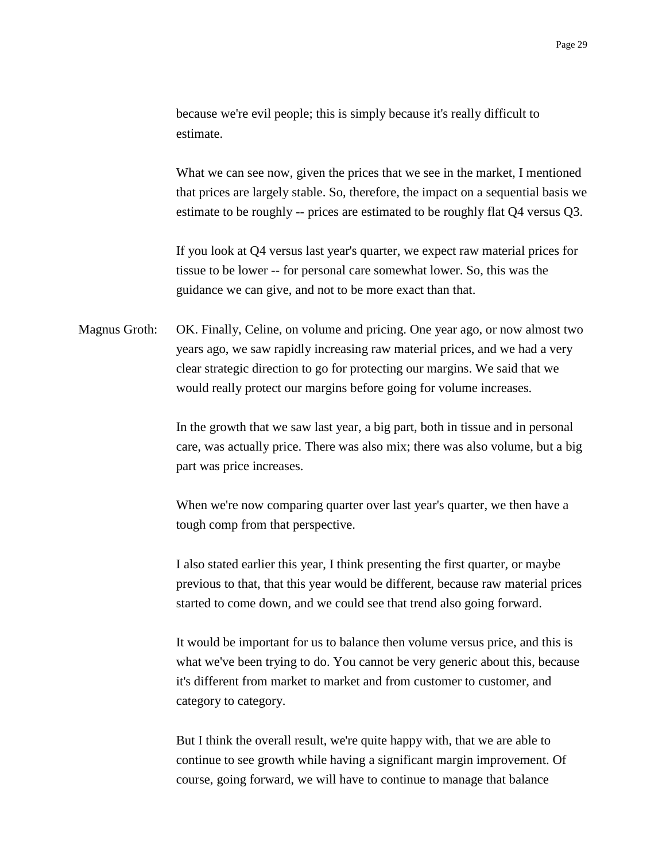because we're evil people; this is simply because it's really difficult to estimate.

What we can see now, given the prices that we see in the market, I mentioned that prices are largely stable. So, therefore, the impact on a sequential basis we estimate to be roughly -- prices are estimated to be roughly flat Q4 versus Q3.

If you look at Q4 versus last year's quarter, we expect raw material prices for tissue to be lower -- for personal care somewhat lower. So, this was the guidance we can give, and not to be more exact than that.

Magnus Groth: OK. Finally, Celine, on volume and pricing. One year ago, or now almost two years ago, we saw rapidly increasing raw material prices, and we had a very clear strategic direction to go for protecting our margins. We said that we would really protect our margins before going for volume increases.

> In the growth that we saw last year, a big part, both in tissue and in personal care, was actually price. There was also mix; there was also volume, but a big part was price increases.

When we're now comparing quarter over last year's quarter, we then have a tough comp from that perspective.

I also stated earlier this year, I think presenting the first quarter, or maybe previous to that, that this year would be different, because raw material prices started to come down, and we could see that trend also going forward.

It would be important for us to balance then volume versus price, and this is what we've been trying to do. You cannot be very generic about this, because it's different from market to market and from customer to customer, and category to category.

But I think the overall result, we're quite happy with, that we are able to continue to see growth while having a significant margin improvement. Of course, going forward, we will have to continue to manage that balance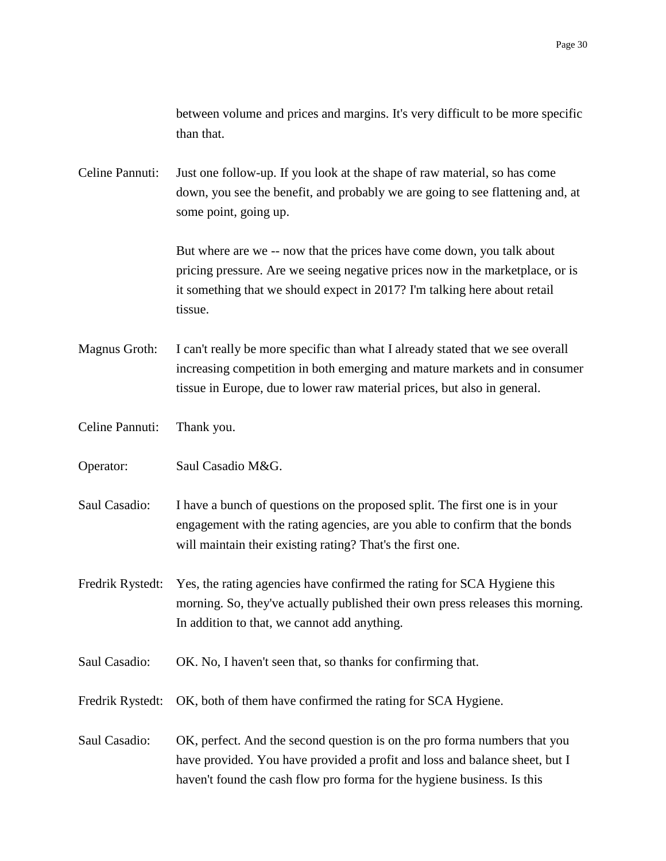between volume and prices and margins. It's very difficult to be more specific than that.

Celine Pannuti: Just one follow-up. If you look at the shape of raw material, so has come down, you see the benefit, and probably we are going to see flattening and, at some point, going up.

> But where are we -- now that the prices have come down, you talk about pricing pressure. Are we seeing negative prices now in the marketplace, or is it something that we should expect in 2017? I'm talking here about retail tissue.

Magnus Groth: I can't really be more specific than what I already stated that we see overall increasing competition in both emerging and mature markets and in consumer tissue in Europe, due to lower raw material prices, but also in general.

Celine Pannuti: Thank you.

Operator: Saul Casadio M&G.

Saul Casadio: I have a bunch of questions on the proposed split. The first one is in your engagement with the rating agencies, are you able to confirm that the bonds will maintain their existing rating? That's the first one.

Fredrik Rystedt: Yes, the rating agencies have confirmed the rating for SCA Hygiene this morning. So, they've actually published their own press releases this morning. In addition to that, we cannot add anything.

Saul Casadio: OK. No, I haven't seen that, so thanks for confirming that.

Fredrik Rystedt: OK, both of them have confirmed the rating for SCA Hygiene.

Saul Casadio: OK, perfect. And the second question is on the pro forma numbers that you have provided. You have provided a profit and loss and balance sheet, but I haven't found the cash flow pro forma for the hygiene business. Is this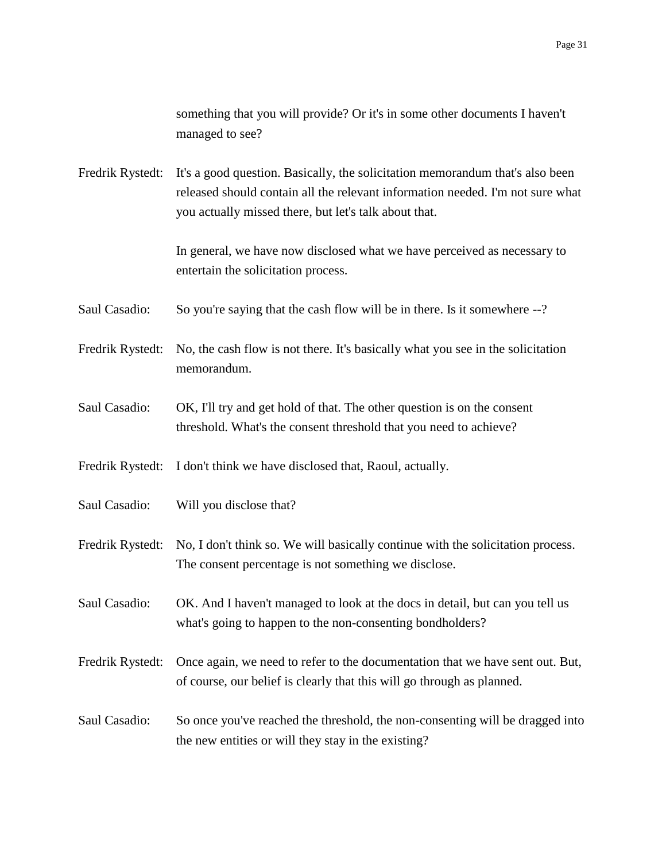something that you will provide? Or it's in some other documents I haven't managed to see?

Fredrik Rystedt: It's a good question. Basically, the solicitation memorandum that's also been released should contain all the relevant information needed. I'm not sure what you actually missed there, but let's talk about that.

> In general, we have now disclosed what we have perceived as necessary to entertain the solicitation process.

- Saul Casadio: So you're saying that the cash flow will be in there. Is it somewhere --?
- Fredrik Rystedt: No, the cash flow is not there. It's basically what you see in the solicitation memorandum.
- Saul Casadio: OK, I'll try and get hold of that. The other question is on the consent threshold. What's the consent threshold that you need to achieve?

Fredrik Rystedt: I don't think we have disclosed that, Raoul, actually.

Saul Casadio: Will you disclose that?

Fredrik Rystedt: No, I don't think so. We will basically continue with the solicitation process. The consent percentage is not something we disclose.

Saul Casadio: OK. And I haven't managed to look at the docs in detail, but can you tell us what's going to happen to the non-consenting bondholders?

Fredrik Rystedt: Once again, we need to refer to the documentation that we have sent out. But, of course, our belief is clearly that this will go through as planned.

Saul Casadio: So once you've reached the threshold, the non-consenting will be dragged into the new entities or will they stay in the existing?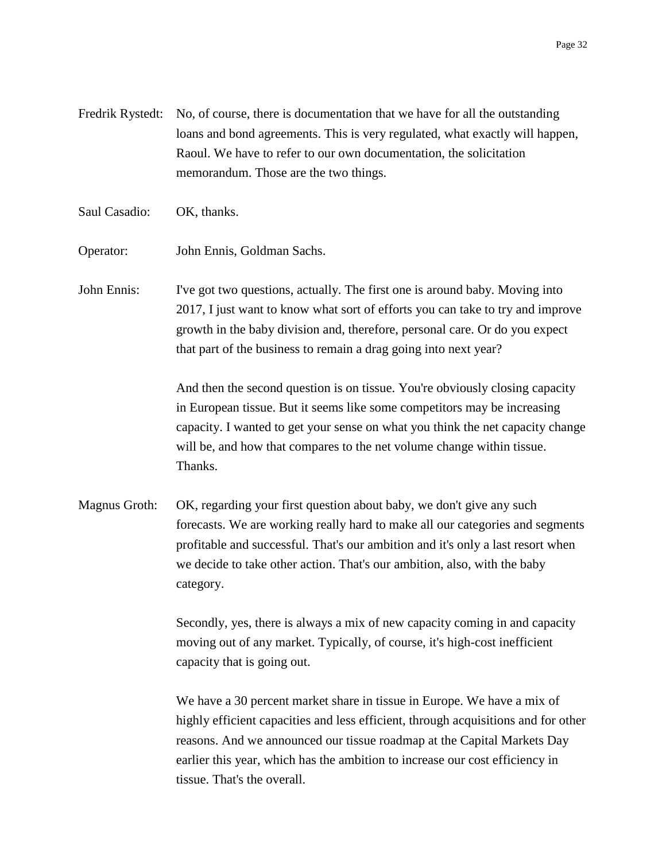- Fredrik Rystedt: No, of course, there is documentation that we have for all the outstanding loans and bond agreements. This is very regulated, what exactly will happen, Raoul. We have to refer to our own documentation, the solicitation memorandum. Those are the two things.
- Saul Casadio: OK, thanks.
- Operator: John Ennis, Goldman Sachs.

John Ennis: I've got two questions, actually. The first one is around baby. Moving into 2017, I just want to know what sort of efforts you can take to try and improve growth in the baby division and, therefore, personal care. Or do you expect that part of the business to remain a drag going into next year?

> And then the second question is on tissue. You're obviously closing capacity in European tissue. But it seems like some competitors may be increasing capacity. I wanted to get your sense on what you think the net capacity change will be, and how that compares to the net volume change within tissue. Thanks.

Magnus Groth: OK, regarding your first question about baby, we don't give any such forecasts. We are working really hard to make all our categories and segments profitable and successful. That's our ambition and it's only a last resort when we decide to take other action. That's our ambition, also, with the baby category.

> Secondly, yes, there is always a mix of new capacity coming in and capacity moving out of any market. Typically, of course, it's high-cost inefficient capacity that is going out.

We have a 30 percent market share in tissue in Europe. We have a mix of highly efficient capacities and less efficient, through acquisitions and for other reasons. And we announced our tissue roadmap at the Capital Markets Day earlier this year, which has the ambition to increase our cost efficiency in tissue. That's the overall.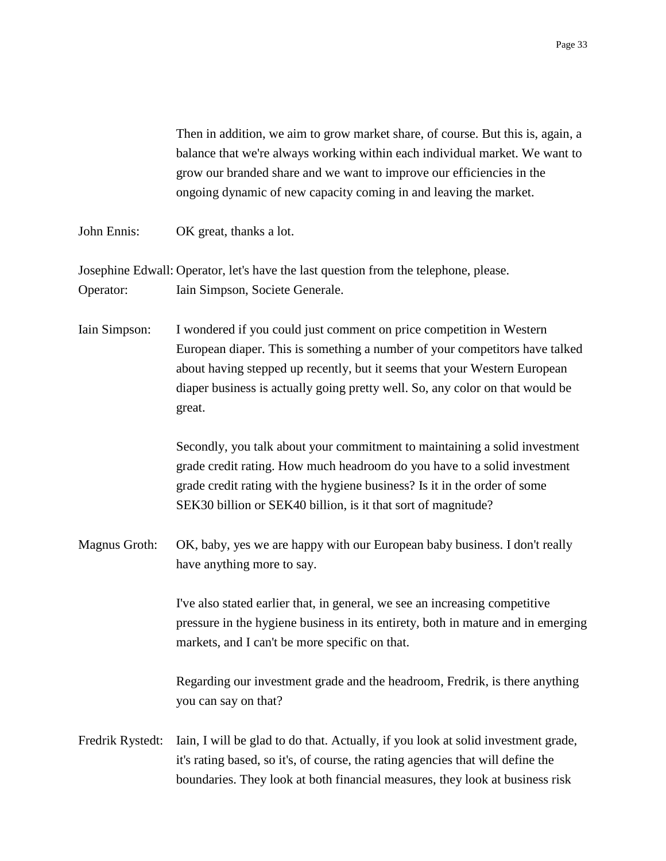Then in addition, we aim to grow market share, of course. But this is, again, a balance that we're always working within each individual market. We want to grow our branded share and we want to improve our efficiencies in the ongoing dynamic of new capacity coming in and leaving the market.

John Ennis: OK great, thanks a lot.

Josephine Edwall: Operator, let's have the last question from the telephone, please. Operator: Iain Simpson, Societe Generale.

Iain Simpson: I wondered if you could just comment on price competition in Western European diaper. This is something a number of your competitors have talked about having stepped up recently, but it seems that your Western European diaper business is actually going pretty well. So, any color on that would be great.

> Secondly, you talk about your commitment to maintaining a solid investment grade credit rating. How much headroom do you have to a solid investment grade credit rating with the hygiene business? Is it in the order of some SEK30 billion or SEK40 billion, is it that sort of magnitude?

Magnus Groth: OK, baby, yes we are happy with our European baby business. I don't really have anything more to say.

> I've also stated earlier that, in general, we see an increasing competitive pressure in the hygiene business in its entirety, both in mature and in emerging markets, and I can't be more specific on that.

Regarding our investment grade and the headroom, Fredrik, is there anything you can say on that?

Fredrik Rystedt: Iain, I will be glad to do that. Actually, if you look at solid investment grade, it's rating based, so it's, of course, the rating agencies that will define the boundaries. They look at both financial measures, they look at business risk